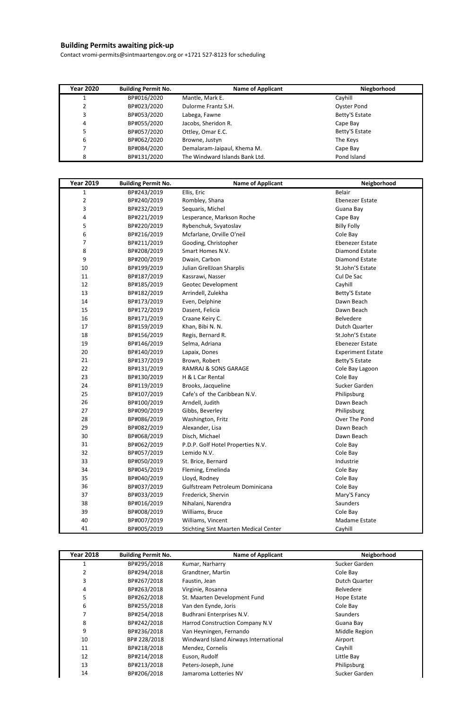## **Building Permits awaiting pick-up**

Contact vromi-permits@sintmaartengov.org or +1721 527-8123 for scheduling

| <b>Year 2020</b> | <b>Building Permit No.</b> | <b>Name of Applicant</b>       | Niegborhood        |
|------------------|----------------------------|--------------------------------|--------------------|
|                  | BP#016/2020                | Mantle, Mark E.                | Cayhill            |
|                  | BP#023/2020                | Dulorme Frantz S.H.            | <b>Oyster Pond</b> |
| 3                | BP#053/2020                | Labega, Fawne                  | Betty'S Estate     |
| 4                | BP#055/2020                | Jacobs, Sheridon R.            | Cape Bay           |
|                  | BP#057/2020                | Ottley, Omar E.C.              | Betty'S Estate     |
| 6                | BP#062/2020                | Browne, Justyn                 | The Keys           |
|                  | BP#084/2020                | Demalaram-Jaipaul, Khema M.    | Cape Bay           |
| 8                | BP#131/2020                | The Windward Islands Bank Ltd. | Pond Island        |

| <b>Year 2019</b> | <b>Building Permit No.</b> | <b>Name of Applicant</b>                     | Neigborhood              |
|------------------|----------------------------|----------------------------------------------|--------------------------|
| 1                | BP#243/2019                | Ellis, Eric                                  | <b>Belair</b>            |
| $\overline{2}$   | BP#240/2019                | Rombley, Shana                               | <b>Ebenezer Estate</b>   |
| 3                | BP#232/2019                | Sequaris, Michel                             | Guana Bay                |
| 4                | BP#221/2019                | Lesperance, Markson Roche                    | Cape Bay                 |
| 5                | BP#220/2019                | Rybenchuk, Svyatoslav                        | <b>Billy Folly</b>       |
| 6                | BP#216/2019                | Mcfarlane, Orville O'neil                    | Cole Bay                 |
| $\overline{7}$   | BP#211/2019                | Gooding, Christopher                         | <b>Ebenezer Estate</b>   |
| 8                | BP#208/2019                | Smart Homes N.V.                             | Diamond Estate           |
| 9                | BP#200/2019                | Dwain, Carbon                                | Diamond Estate           |
| 10               | BP#199/2019                | Julian GrellJoan Sharplis                    | St.John'S Estate         |
| 11               | BP#187/2019                | Kassrawi, Nasser                             | Cul De Sac               |
| 12               | BP#185/2019                | <b>Geotec Development</b>                    | Cayhill                  |
| 13               | BP#182/2019                | Arrindell, Zulekha                           | Betty'S Estate           |
| 14               | BP#173/2019                | Even, Delphine                               | Dawn Beach               |
| 15               | BP#172/2019                | Dasent, Felicia                              | Dawn Beach               |
| 16               | BP#171/2019                | Craane Keiry C.                              | Belvedere                |
| 17               | BP#159/2019                | Khan, Bibi N. N.                             | Dutch Quarter            |
| 18               | BP#156/2019                | Regis, Bernard R.                            | St.John'S Estate         |
| 19               | BP#146/2019                | Selma, Adriana                               | <b>Ebenezer Estate</b>   |
| 20               | BP#140/2019                | Lapaix, Dones                                | <b>Experiment Estate</b> |
| 21               | BP#137/2019                | Brown, Robert                                | Betty'S Estate           |
| 22               | BP#131/2019                | RAMRAJ & SONS GARAGE                         | Cole Bay Lagoon          |
| 23               | BP#130/2019                | H & L Car Rental                             | Cole Bay                 |
| 24               | BP#119/2019                | Brooks, Jacqueline                           | Sucker Garden            |
| 25               | BP#107/2019                | Cafe's of the Caribbean N.V.                 | Philipsburg              |
| 26               | BP#100/2019                | Arndell, Judith                              | Dawn Beach               |
| 27               | BP#090/2019                | Gibbs, Beverley                              | Philipsburg              |
| 28               | BP#086/2019                | Washington, Fritz                            | Over The Pond            |
| 29               | BP#082/2019                | Alexander, Lisa                              | Dawn Beach               |
| 30               | BP#068/2019                | Disch, Michael                               | Dawn Beach               |
| 31               | BP#062/2019                | P.D.P. Golf Hotel Properties N.V.            | Cole Bay                 |
| 32               | BP#057/2019                | Lemido N.V.                                  | Cole Bay                 |
| 33               | BP#050/2019                | St. Brice, Bernard                           | Industrie                |
| 34               | BP#045/2019                | Fleming, Emelinda                            | Cole Bay                 |
| 35               | BP#040/2019                | Lloyd, Rodney                                | Cole Bay                 |
| 36               | BP#037/2019                | Gulfstream Petroleum Dominicana              | Cole Bay                 |
| 37               | BP#033/2019                | Frederick, Shervin                           | Mary'S Fancy             |
| 38               | BP#016/2019                | Nihalani, Narendra                           | Saunders                 |
| 39               | BP#008/2019                | Williams, Bruce                              | Cole Bay                 |
| 40               | BP#007/2019                | Williams, Vincent                            | Madame Estate            |
| 41               | BP#005/2019                | <b>Stichting Sint Maarten Medical Center</b> | Cayhill                  |

| <b>Year 2018</b> | <b>Building Permit No.</b> | <b>Name of Applicant</b>              | Neigborhood      |
|------------------|----------------------------|---------------------------------------|------------------|
| 1                | BP#295/2018                | Kumar, Narharry                       | Sucker Garden    |
| 2                | BP#294/2018                | Grandtner, Martin                     | Cole Bay         |
| 3                | BP#267/2018                | Faustin, Jean                         | Dutch Quarter    |
| 4                | BP#263/2018                | Virginie, Rosanna                     | <b>Belvedere</b> |
| 5                | BP#262/2018                | St. Maarten Development Fund          | Hope Estate      |
| 6                | BP#255/2018                | Van den Eynde, Joris                  | Cole Bay         |
|                  | BP#254/2018                | Budhrani Enterprises N.V.             | <b>Saunders</b>  |
| 8                | BP#242/2018                | Harrod Construction Company N.V       | Guana Bay        |
| 9                | BP#236/2018                | Van Heyningen, Fernando               | Middle Region    |
| 10               | BP# 228/2018               | Windward Island Airways International | Airport          |
| 11               | BP#218/2018                | Mendez, Cornelis                      | Cayhill          |
| 12               | BP#214/2018                | Euson, Rudolf                         | Little Bay       |
| 13               | BP#213/2018                | Peters-Joseph, June                   | Philipsburg      |
| 14               | BP#206/2018                | Jamaroma Lotteries NV                 | Sucker Garden    |